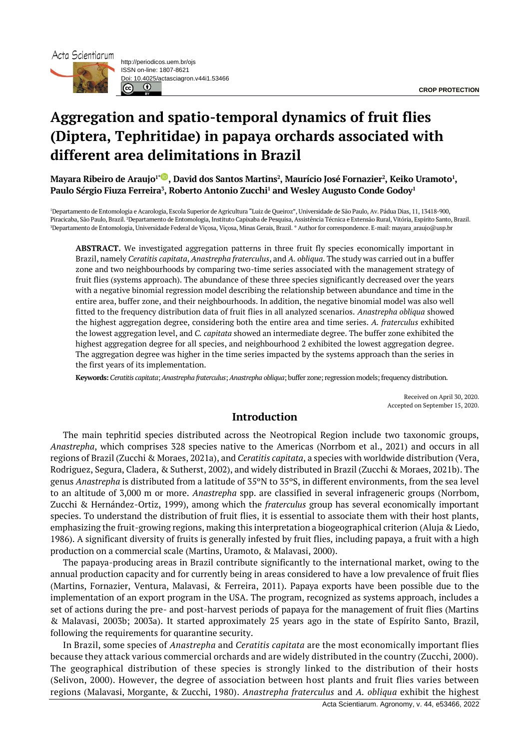Acta Scientiarum



http://periodicos.uem.br/ojs ISSN on-line: 1807-8621 Doi: 10.4025/actasciagron.v44i1.53466  $\odot$ 

# **Aggregation and spatio-temporal dynamics of fruit flies (Diptera, Tephritidae) in papaya orchards associated with different area delimitations in Brazil**

**Mayara Ribeiro de Araujo1\* , David dos Santos Martins<sup>2</sup> , Maurício José Fornazier<sup>2</sup> , Keiko Uramoto<sup>1</sup> , Paulo Sérgio Fiuza Ferreira<sup>3</sup> , Roberto Antonio Zucchi<sup>1</sup> and Wesley Augusto Conde Godoy<sup>1</sup>**

<sup>1</sup>Departamento de Entomologia e Acarologia, Escola Superior de Agricultura "Luiz de Queiroz", Universidade de São Paulo, Av. Pádua Dias, 11, 13418-900, Piracicaba, São Paulo, Brazil. <sup>2</sup>Departamento de Entomologia, Instituto Capixaba de Pesquisa, Assistência Técnica e Extensão Rural, Vitória, Espírito Santo, Brazil. <sup>3</sup>Departamento de Entomologia, Universidade Federal de Viçosa, Viçosa, Minas Gerais, Brazil. \* Author for correspondence. E-mail: mayara\_araujo@usp.br

**ABSTRACT.** We investigated aggregation patterns in three fruit fly species economically important in Brazil, namely *Ceratitis capitata*, *Anastrepha fraterculus*, and *A. obliqua*. The study was carried out in a buffer zone and two neighbourhoods by comparing two-time series associated with the management strategy of fruit flies (systems approach). The abundance of these three species significantly decreased over the years with a negative binomial regression model describing the relationship between abundance and time in the entire area, buffer zone, and their neighbourhoods. In addition, the negative binomial model was also well fitted to the frequency distribution data of fruit flies in all analyzed scenarios. *Anastrepha obliqua* showed the highest aggregation degree, considering both the entire area and time series. *A. fraterculus* exhibited the lowest aggregation level, and *C. capitata* showed an intermediate degree. The buffer zone exhibited the highest aggregation degree for all species, and neighbourhood 2 exhibited the lowest aggregation degree. The aggregation degree was higher in the time series impacted by the systems approach than the series in the first years of its implementation.

**Keywords:** *Ceratitis capitata*;*Anastrepha fraterculus*;*Anastrepha obliqua*; buffer zone; regression models; frequency distribution.

Received on April 30, 2020. Accepted on September 15, 2020.

# **Introduction**

The main tephritid species distributed across the Neotropical Region include two taxonomic groups, *Anastrepha*, which comprises 328 species native to the Americas (Norrbom et al., 2021) and occurs in all regions of Brazil (Zucchi & Moraes, 2021a), and *Ceratitis capitata*, a species with worldwide distribution (Vera, Rodriguez, Segura, Cladera, & Sutherst, 2002), and widely distributed in Brazil (Zucchi & Moraes, 2021b). The genus *Anastrepha* is distributed from a latitude of 35ºN to 35ºS, in different environments, from the sea level to an altitude of 3,000 m or more. *Anastrepha* spp. are classified in several infrageneric groups (Norrbom, Zucchi & Hernández-Ortiz, 1999), among which the *fraterculus* group has several economically important species. To understand the distribution of fruit flies, it is essential to associate them with their host plants, emphasizing the fruit-growing regions, making this interpretation a biogeographical criterion (Aluja & Liedo, 1986). A significant diversity of fruits is generally infested by fruit flies, including papaya, a fruit with a high production on a commercial scale (Martins, Uramoto, & Malavasi, 2000).

The papaya-producing areas in Brazil contribute significantly to the international market, owing to the annual production capacity and for currently being in areas considered to have a low prevalence of fruit flies (Martins, Fornazier, Ventura, Malavasi, & Ferreira, 2011). Papaya exports have been possible due to the implementation of an export program in the USA. The program, recognized as systems approach, includes a set of actions during the pre- and post-harvest periods of papaya for the management of fruit flies (Martins & Malavasi, 2003b; 2003a). It started approximately 25 years ago in the state of Espírito Santo, Brazil, following the requirements for quarantine security.

In Brazil, some species of *Anastrepha* and *Ceratitis capitata* are the most economically important flies because they attack various commercial orchards and are widely distributed in the country (Zucchi, 2000). The geographical distribution of these species is strongly linked to the distribution of their hosts (Selivon, 2000). However, the degree of association between host plants and fruit flies varies between regions (Malavasi, Morgante, & Zucchi, 1980). *Anastrepha fraterculus* and *A. obliqua* exhibit the highest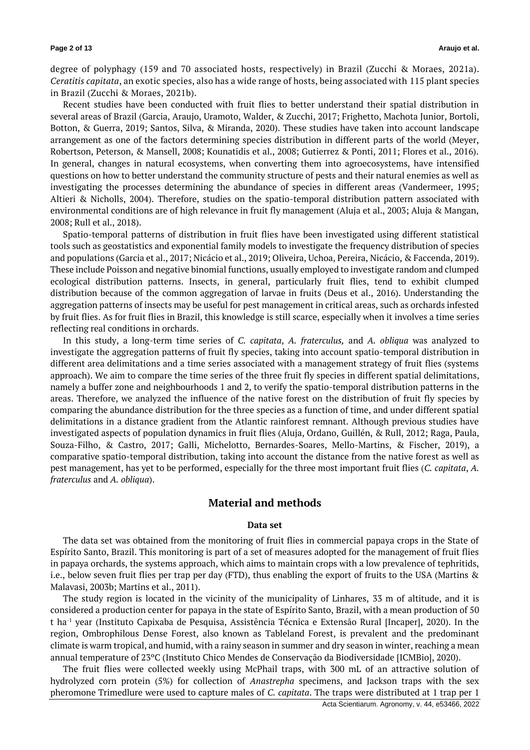degree of polyphagy (159 and 70 associated hosts, respectively) in Brazil (Zucchi & Moraes, 2021a). *Ceratitis capitata*, an exotic species, also has a wide range of hosts, being associated with 115 plant species in Brazil (Zucchi & Moraes, 2021b).

Recent studies have been conducted with fruit flies to better understand their spatial distribution in several areas of Brazil (Garcia, Araujo, Uramoto, Walder, & Zucchi, 2017; Frighetto, Machota Junior, Bortoli, Botton, & Guerra, 2019; Santos, Silva, & Miranda, 2020). These studies have taken into account landscape arrangement as one of the factors determining species distribution in different parts of the world (Meyer, Robertson, Peterson, & Mansell, 2008; Kounatidis et al., 2008; Gutierrez & Ponti, 2011; Flores et al., 2016). In general, changes in natural ecosystems, when converting them into agroecosystems, have intensified questions on how to better understand the community structure of pests and their natural enemies as well as investigating the processes determining the abundance of species in different areas (Vandermeer, 1995; Altieri & Nicholls, 2004). Therefore, studies on the spatio-temporal distribution pattern associated with environmental conditions are of high relevance in fruit fly management (Aluja et al., 2003; Aluja & Mangan, 2008; Rull et al., 2018).

Spatio-temporal patterns of distribution in fruit flies have been investigated using different statistical tools such as geostatistics and exponential family models to investigate the frequency distribution of species and populations (Garcia et al., 2017; Nicácio et al., 2019; Oliveira, Uchoa, Pereira, Nicácio, & Faccenda, 2019). These include Poisson and negative binomial functions, usually employed to investigate random and clumped ecological distribution patterns. Insects, in general, particularly fruit flies, tend to exhibit clumped distribution because of the common aggregation of larvae in fruits (Deus et al., 2016). Understanding the aggregation patterns of insects may be useful for pest management in critical areas, such as orchards infested by fruit flies. As for fruit flies in Brazil, this knowledge is still scarce, especially when it involves a time series reflecting real conditions in orchards.

In this study, a long-term time series of *C. capitata*, *A. fraterculus,* and *A. obliqua* was analyzed to investigate the aggregation patterns of fruit fly species, taking into account spatio-temporal distribution in different area delimitations and a time series associated with a management strategy of fruit flies (systems approach). We aim to compare the time series of the three fruit fly species in different spatial delimitations, namely a buffer zone and neighbourhoods 1 and 2, to verify the spatio-temporal distribution patterns in the areas. Therefore, we analyzed the influence of the native forest on the distribution of fruit fly species by comparing the abundance distribution for the three species as a function of time, and under different spatial delimitations in a distance gradient from the Atlantic rainforest remnant. Although previous studies have investigated aspects of population dynamics in fruit flies (Aluja, Ordano, Guillén, & Rull, 2012; Raga, Paula, Souza-Filho, & Castro, 2017; Galli, Michelotto, Bernardes-Soares, Mello-Martins, & Fischer, 2019), a comparative spatio-temporal distribution, taking into account the distance from the native forest as well as pest management, has yet to be performed, especially for the three most important fruit flies (*C. capitata*, *A. fraterculus* and *A. obliqua*).

# **Material and methods**

## **Data set**

The data set was obtained from the monitoring of fruit flies in commercial papaya crops in the State of Espírito Santo, Brazil. This monitoring is part of a set of measures adopted for the management of fruit flies in papaya orchards, the systems approach, which aims to maintain crops with a low prevalence of tephritids, i.e., below seven fruit flies per trap per day (FTD), thus enabling the export of fruits to the USA (Martins & Malavasi, 2003b; Martins et al., 2011).

The study region is located in the vicinity of the municipality of Linhares, 33 m of altitude, and it is considered a production center for papaya in the state of Espírito Santo, Brazil, with a mean production of 50 t ha-1 year (Instituto Capixaba de Pesquisa, Assistência Técnica e Extensão Rural [Incaper], 2020). In the region, Ombrophilous Dense Forest, also known as Tableland Forest, is prevalent and the predominant climate is warm tropical, and humid, with a rainy season in summer and dry season in winter, reaching a mean annual temperature of 23ºC (Instituto Chico Mendes de Conservação da Biodiversidade [ICMBio], 2020).

The fruit flies were collected weekly using McPhail traps, with 300 mL of an attractive solution of hydrolyzed corn protein (5%) for collection of *Anastrepha* specimens, and Jackson traps with the sex pheromone Trimedlure were used to capture males of *C. capitata*. The traps were distributed at 1 trap per 1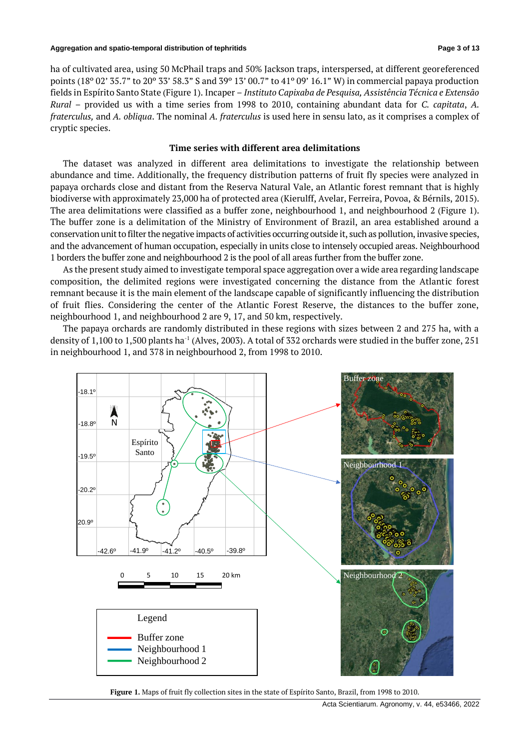ha of cultivated area, using 50 McPhail traps and 50% Jackson traps, interspersed, at different georeferenced points (18º 02' 35.7" to 20º 33' 58.3" S and 39º 13' 00.7" to 41º 09' 16.1" W) in commercial papaya production fields in Espírito Santo State (Figure 1). Incaper – *Instituto Capixaba de Pesquisa, Assistência Técnica e Extensão Rural* – provided us with a time series from 1998 to 2010, containing abundant data for *C. capitata*, *A. fraterculus,* and *A. obliqua*. The nominal *A. fraterculus* is used here in sensu lato, as it comprises a complex of cryptic species.

## **Time series with different area delimitations**

The dataset was analyzed in different area delimitations to investigate the relationship between abundance and time. Additionally, the frequency distribution patterns of fruit fly species were analyzed in papaya orchards close and distant from the Reserva Natural Vale, an Atlantic forest remnant that is highly biodiverse with approximately 23,000 ha of protected area (Kierulff, Avelar, Ferreira, Povoa, & Bérnils, 2015). The area delimitations were classified as a buffer zone, neighbourhood 1, and neighbourhood 2 (Figure 1). The buffer zone is a delimitation of the Ministry of Environment of Brazil, an area established around a conservation unit to filter the negative impacts of activities occurring outside it, such as pollution, invasive species, and the advancement of human occupation, especially in units close to intensely occupied areas. Neighbourhood 1 borders the buffer zone and neighbourhood 2 is the pool of all areas further from the buffer zone.

As the present study aimed to investigate temporal space aggregation over a wide area regarding landscape composition, the delimited regions were investigated concerning the distance from the Atlantic forest remnant because it is the main element of the landscape capable of significantly influencing the distribution of fruit flies. Considering the center of the Atlantic Forest Reserve, the distances to the buffer zone, neighbourhood 1, and neighbourhood 2 are 9, 17, and 50 km, respectively.

The papaya orchards are randomly distributed in these regions with sizes between 2 and 275 ha, with a density of 1,100 to 1,500 plants ha<sup>-1</sup> (Alves, 2003). A total of 332 orchards were studied in the buffer zone, 251 in neighbourhood 1, and 378 in neighbourhood 2, from 1998 to 2010.

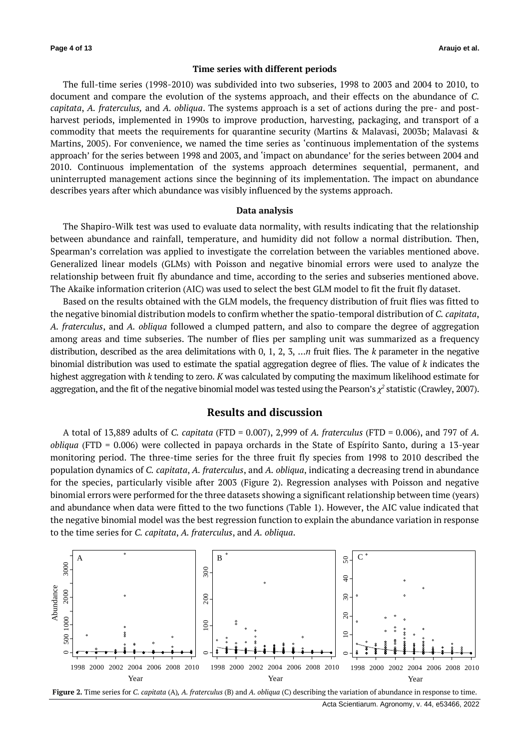#### **Time series with different periods**

The full-time series (1998-2010) was subdivided into two subseries, 1998 to 2003 and 2004 to 2010, to document and compare the evolution of the systems approach, and their effects on the abundance of *C. capitata*, *A. fraterculus,* and *A. obliqua*. The systems approach is a set of actions during the pre- and postharvest periods, implemented in 1990s to improve production, harvesting, packaging, and transport of a commodity that meets the requirements for quarantine security (Martins & Malavasi, 2003b; Malavasi & Martins, 2005). For convenience, we named the time series as 'continuous implementation of the systems approach' for the series between 1998 and 2003, and 'impact on abundance' for the series between 2004 and 2010. Continuous implementation of the systems approach determines sequential, permanent, and uninterrupted management actions since the beginning of its implementation. The impact on abundance describes years after which abundance was visibly influenced by the systems approach.

#### **Data analysis**

The Shapiro-Wilk test was used to evaluate data normality, with results indicating that the relationship between abundance and rainfall, temperature, and humidity did not follow a normal distribution. Then, Spearman's correlation was applied to investigate the correlation between the variables mentioned above. Generalized linear models (GLMs) with Poisson and negative binomial errors were used to analyze the relationship between fruit fly abundance and time, according to the series and subseries mentioned above. The Akaike information criterion (AIC) was used to select the best GLM model to fit the fruit fly dataset.

Based on the results obtained with the GLM models, the frequency distribution of fruit flies was fitted to the negative binomial distribution models to confirm whether the spatio-temporal distribution of *C. capitata*, *A. fraterculus*, and *A. obliqua* followed a clumped pattern, and also to compare the degree of aggregation among areas and time subseries. The number of flies per sampling unit was summarized as a frequency distribution, described as the area delimitations with 0, 1, 2, 3, …*n* fruit flies. The *k* parameter in the negative binomial distribution was used to estimate the spatial aggregation degree of flies. The value of *k* indicates the highest aggregation with *k* tending to zero. *K* was calculated by computing the maximum likelihood estimate for aggregation, and the fit of the negative binomial model was tested using the Pearson's χ<sup>2</sup> statistic (Crawley, 2007).

## **Results and discussion**

A total of 13,889 adults of *C. capitata* (FTD = 0.007), 2,999 of *A. fraterculus* (FTD = 0.006), and 797 of *A. obliqua* (FTD = 0.006) were collected in papaya orchards in the State of Espírito Santo, during a 13-year monitoring period. The three-time series for the three fruit fly species from 1998 to 2010 described the population dynamics of *C. capitata*, *A. fraterculus*, and *A. obliqua*, indicating a decreasing trend in abundance for the species, particularly visible after 2003 (Figure 2). Regression analyses with Poisson and negative binomial errors were performed for the three datasets showing a significant relationship between time (years) and abundance when data were fitted to the two functions (Table 1). However, the AIC value indicated that the negative binomial model was the best regression function to explain the abundance variation in response to the time series for *C. capitata*, *A. fraterculus*, and *A. obliqua*.



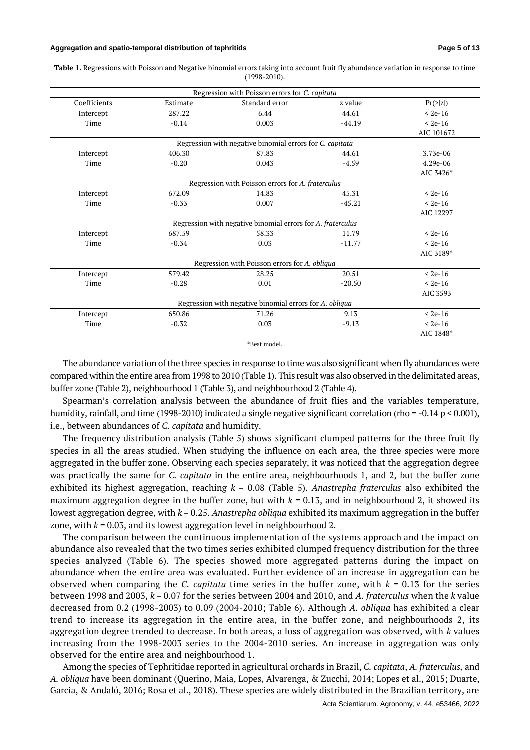#### **Aggregation and spatio-temporal distribution of tephritids Page 5 of 13**

**Table 1.** Regressions with Poisson and Negative binomial errors taking into account fruit fly abundance variation in response to time (1998-2010).

|              |          | Regression with Poisson errors for C. capitata              |          |            |
|--------------|----------|-------------------------------------------------------------|----------|------------|
| Coefficients | Estimate | Standard error                                              | z value  | Pr(>  z )  |
| Intercept    | 287.22   | 6.44                                                        | 44.61    | $<$ 2e-16  |
| Time         | $-0.14$  | 0.003                                                       | $-44.19$ | $<$ 2e-16  |
|              |          |                                                             |          | AIC 101672 |
|              |          | Regression with negative binomial errors for C. capitata    |          |            |
| Intercept    | 406.30   | 87.83                                                       | 44.61    | 3.73e-06   |
| Time         | $-0.20$  | 0.043                                                       | $-4.59$  | 4.29e-06   |
|              |          |                                                             |          | AIC 3426*  |
|              |          | Regression with Poisson errors for A. fraterculus           |          |            |
| Intercept    | 672.09   | 14.83                                                       | 45.31    | $<$ 2e-16  |
| Time         | $-0.33$  | 0.007                                                       | $-45.21$ | $< 2e-16$  |
|              |          |                                                             |          | AIC 12297  |
|              |          | Regression with negative binomial errors for A. fraterculus |          |            |
| Intercept    | 687.59   | 58.33                                                       | 11.79    | $<$ 2e-16  |
| Time         | $-0.34$  | 0.03                                                        | $-11.77$ | $<$ 2e-16  |
|              |          |                                                             |          | AIC 3189*  |
|              |          | Regression with Poisson errors for A. obliqua               |          |            |
| Intercept    | 579.42   | 28.25                                                       | 20.51    | $<$ 2e-16  |
| Time         | $-0.28$  | 0.01                                                        | $-20.50$ | $<$ 2e-16  |
|              |          |                                                             |          | AIC 3593   |
|              |          | Regression with negative binomial errors for A. obliqua     |          |            |
| Intercept    | 650.86   | 71.26                                                       | 9.13     | $<$ 2e-16  |
| Time         | $-0.32$  | 0.03                                                        | $-9.13$  | $<$ 2e-16  |
|              |          |                                                             |          | AIC 1848*  |

\*Best model.

The abundance variation of the three species in response to time was also significant when fly abundances were compared within the entire area from 1998 to 2010 (Table 1). This result was also observed in the delimitated areas, buffer zone (Table 2), neighbourhood 1 (Table 3), and neighbourhood 2 (Table 4).

Spearman's correlation analysis between the abundance of fruit flies and the variables temperature, humidity, rainfall, and time (1998-2010) indicated a single negative significant correlation (rho = -0.14 p < 0.001), i.e., between abundances of *C. capitata* and humidity.

The frequency distribution analysis (Table 5) shows significant clumped patterns for the three fruit fly species in all the areas studied. When studying the influence on each area, the three species were more aggregated in the buffer zone. Observing each species separately, it was noticed that the aggregation degree was practically the same for *C. capitata* in the entire area, neighbourhoods 1, and 2, but the buffer zone exhibited its highest aggregation, reaching *k =* 0.08 (Table 5). *Anastrepha fraterculus* also exhibited the maximum aggregation degree in the buffer zone, but with  $k = 0.13$ , and in neighbourhood 2, it showed its lowest aggregation degree, with *k* = 0.25. *Anastrepha obliqua* exhibited its maximum aggregation in the buffer zone, with  $k = 0.03$ , and its lowest aggregation level in neighbourhood 2.

The comparison between the continuous implementation of the systems approach and the impact on abundance also revealed that the two times series exhibited clumped frequency distribution for the three species analyzed (Table 6). The species showed more aggregated patterns during the impact on abundance when the entire area was evaluated. Further evidence of an increase in aggregation can be observed when comparing the *C. capitata* time series in the buffer zone, with *k* = 0.13 for the series between 1998 and 2003, *k* = 0.07 for the series between 2004 and 2010, and *A. fraterculus* when the *k* value decreased from 0.2 (1998-2003) to 0.09 (2004-2010; Table 6). Although *A. obliqua* has exhibited a clear trend to increase its aggregation in the entire area, in the buffer zone, and neighbourhoods 2, its aggregation degree trended to decrease. In both areas, a loss of aggregation was observed, with *k* values increasing from the 1998-2003 series to the 2004-2010 series. An increase in aggregation was only observed for the entire area and neighbourhood 1.

Among the species of Tephritidae reported in agricultural orchards in Brazil, *C. capitata*, *A. fraterculus,* and *A. obliqua* have been dominant (Querino, Maia, Lopes, Alvarenga, & Zucchi, 2014; Lopes et al., 2015; Duarte, Garcia, & Andaló, 2016; Rosa et al., 2018). These species are widely distributed in the Brazilian territory, are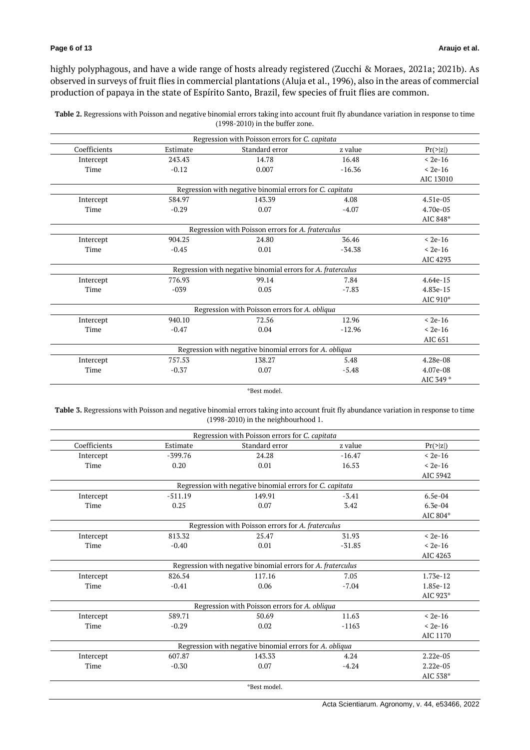highly polyphagous, and have a wide range of hosts already registered (Zucchi & Moraes, 2021a; 2021b). As observed in surveys of fruit flies in commercial plantations (Aluja et al., 1996), also in the areas of commercial production of papaya in the state of Espírito Santo, Brazil, few species of fruit flies are common.

**Table 2.** Regressions with Poisson and negative binomial errors taking into account fruit fly abundance variation in response to time (1998-2010) in the buffer zone.

|              |          | Regression with Poisson errors for C. capitata              |          |            |
|--------------|----------|-------------------------------------------------------------|----------|------------|
| Coefficients | Estimate | Standard error                                              | z value  | Pr(>  z )  |
| Intercept    | 243.43   | 14.78                                                       | 16.48    | $<$ 2e-16  |
| Time         | $-0.12$  | 0.007                                                       | $-16.36$ | $<$ 2e-16  |
|              |          |                                                             |          | AIC 13010  |
|              |          | Regression with negative binomial errors for C. capitata    |          |            |
| Intercept    | 584.97   | 143.39                                                      | 4.08     | 4.51e-05   |
| Time         | $-0.29$  | 0.07                                                        | $-4.07$  | 4.70e-05   |
|              |          |                                                             |          | AIC 848*   |
|              |          | Regression with Poisson errors for A. fraterculus           |          |            |
| Intercept    | 904.25   | 24.80                                                       | 36.46    | $<$ 2e-16  |
| Time         | $-0.45$  | 0.01                                                        | $-34.38$ | $<$ 2e-16  |
|              |          |                                                             |          | AIC 4293   |
|              |          | Regression with negative binomial errors for A. fraterculus |          |            |
| Intercept    | 776.93   | 99.14                                                       | 7.84     | $4.64e-15$ |
| Time         | $-039$   | 0.05                                                        | $-7.83$  | 4.83e-15   |
|              |          |                                                             |          | AIC 910*   |
|              |          | Regression with Poisson errors for A. obliqua               |          |            |
| Intercept    | 940.10   | 72.56                                                       | 12.96    | $<$ 2e-16  |
| Time         | $-0.47$  | 0.04                                                        | $-12.96$ | $<$ 2e-16  |
|              |          |                                                             |          | AIC 651    |
|              |          | Regression with negative binomial errors for A. obliqua     |          |            |
| Intercept    | 757.53   | 138.27                                                      | 5.48     | 4.28e-08   |
| Time         | $-0.37$  | 0.07                                                        | $-5.48$  | 4.07e-08   |
|              |          |                                                             |          | AIC 349 *  |

\*Best model.

**Table 3.** Regressions with Poisson and negative binomial errors taking into account fruit fly abundance variation in response to time (1998-2010) in the neighbourhood 1.

|              |           | Regression with Poisson errors for C. capitata              |          |           |
|--------------|-----------|-------------------------------------------------------------|----------|-----------|
| Coefficients | Estimate  | Standard error                                              | z value  | Pr(>  z ) |
| Intercept    | $-399.76$ | 24.28                                                       | $-16.47$ | $<$ 2e-16 |
| Time         | 0.20      | 0.01                                                        | 16.53    | $<$ 2e-16 |
|              |           |                                                             |          | AIC 5942  |
|              |           | Regression with negative binomial errors for C. capitata    |          |           |
| Intercept    | $-511.19$ | 149.91                                                      | $-3.41$  | $6.5e-04$ |
| Time         | 0.25      | 0.07                                                        | 3.42     | $6.3e-04$ |
|              |           |                                                             |          | AIC 804*  |
|              |           | Regression with Poisson errors for A. fraterculus           |          |           |
| Intercept    | 813.32    | 25.47                                                       | 31.93    | $<$ 2e-16 |
| Time         | $-0.40$   | 0.01                                                        | $-31.85$ | $<$ 2e-16 |
|              |           |                                                             |          | AIC 4263  |
|              |           | Regression with negative binomial errors for A. fraterculus |          |           |
| Intercept    | 826.54    | 117.16                                                      | 7.05     | 1.73e-12  |
| Time         | $-0.41$   | 0.06                                                        | $-7.04$  | 1.85e-12  |
|              |           |                                                             |          | AIC 923*  |
|              |           | Regression with Poisson errors for A. obliqua               |          |           |
| Intercept    | 589.71    | 50.69                                                       | 11.63    | $< 2e-16$ |
| Time         | $-0.29$   | 0.02                                                        | $-1163$  | $<$ 2e-16 |
|              |           |                                                             |          | AIC 1170  |
|              |           | Regression with negative binomial errors for A. obliqua     |          |           |
| Intercept    | 607.87    | 143.33                                                      | 4.24     | 2.22e-05  |
| Time         | $-0.30$   | 0.07                                                        | $-4.24$  | 2.22e-05  |
|              |           |                                                             |          | AIC 538*  |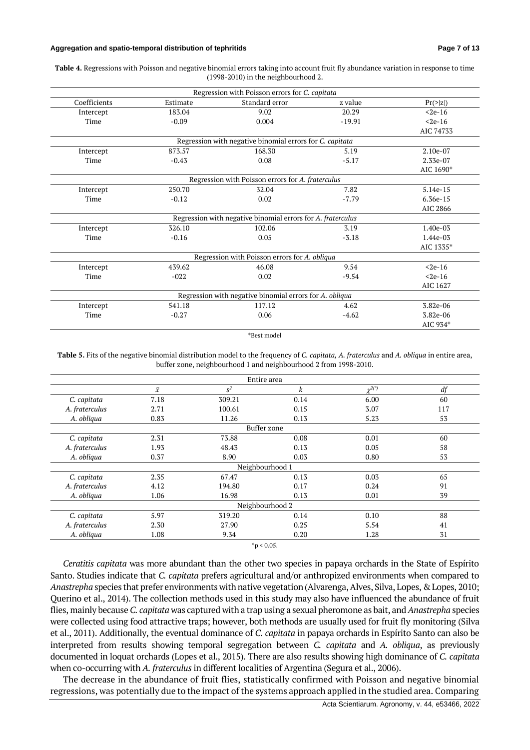#### **Aggregation and spatio-temporal distribution of tephritids Page 7 of 13**

**Table 4.** Regressions with Poisson and negative binomial errors taking into account fruit fly abundance variation in response to time (1998-2010) in the neighbourhood 2.

|              |          | Regression with Poisson errors for C. capitata              |          |            |
|--------------|----------|-------------------------------------------------------------|----------|------------|
| Coefficients | Estimate | Standard error                                              | z value  | Pr(>  z )  |
| Intercept    | 183.04   | 9.02                                                        | 20.29    | $2e-16$    |
| Time         | $-0.09$  | 0.004                                                       | $-19.91$ | $< 2e-16$  |
|              |          |                                                             |          | AIC 74733  |
|              |          | Regression with negative binomial errors for C. capitata    |          |            |
| Intercept    | 873.57   | 168.30                                                      | 5.19     | 2.10e-07   |
| Time         | $-0.43$  | 0.08                                                        | $-5.17$  | 2.33e-07   |
|              |          |                                                             |          | AIC 1690*  |
|              |          | Regression with Poisson errors for A. fraterculus           |          |            |
| Intercept    | 250.70   | 32.04                                                       | 7.82     | $5.14e-15$ |
| Time         | $-0.12$  | 0.02                                                        | $-7.79$  | 6.36e-15   |
|              |          |                                                             |          | AIC 2866   |
|              |          | Regression with negative binomial errors for A. fraterculus |          |            |
| Intercept    | 326.10   | 102.06                                                      | 3.19     | 1.40e-03   |
| Time         | $-0.16$  | 0.05                                                        | $-3.18$  | 1.44e-03   |
|              |          |                                                             |          | AIC 1335*  |
|              |          | Regression with Poisson errors for A. obliqua               |          |            |
| Intercept    | 439.62   | 46.08                                                       | 9.54     | $2e-16$    |
| Time         | $-022$   | 0.02                                                        | $-9.54$  | $2e-16$    |
|              |          |                                                             |          | AIC 1627   |
|              |          | Regression with negative binomial errors for A. obliqua     |          |            |
| Intercept    | 541.18   | 117.12                                                      | 4.62     | 3.82e-06   |
| Time         | $-0.27$  | 0.06                                                        | $-4.62$  | 3.82e-06   |
|              |          |                                                             |          | AIC 934*   |

\*Best model

**Table 5.** Fits of the negative binomial distribution model to the frequency of *C. capitata, A. fraterculus* and *A. obliqua* in entire area, buffer zone, neighbourhood 1 and neighbourhood 2 from 1998-2010.

| Entire area     |                 |             |      |              |     |  |
|-----------------|-----------------|-------------|------|--------------|-----|--|
|                 | $\bar{x}$       | $s^2$       | k    | $\nu^{2(3)}$ | df  |  |
| C. capitata     | 7.18            | 309.21      | 0.14 | 6.00         | 60  |  |
| A. fraterculus  | 2.71            | 100.61      | 0.15 | 3.07         | 117 |  |
| A. obliqua      | 0.83            | 11.26       | 0.13 | 5.23         | 53  |  |
|                 |                 | Buffer zone |      |              |     |  |
| C. capitata     | 2.31            | 73.88       | 0.08 | 0.01         | 60  |  |
| A. fraterculus  | 1.93            | 48.43       | 0.13 | 0.05         | 58  |  |
| A. obliqua      | 0.37            | 8.90        | 0.03 | 0.80         | 53  |  |
|                 | Neighbourhood 1 |             |      |              |     |  |
| C. capitata     | 2.35            | 67.47       | 0.13 | 0.03         | 65  |  |
| A. fraterculus  | 4.12            | 194.80      | 0.17 | 0.24         | 91  |  |
| A. obliqua      | 1.06            | 16.98       | 0.13 | 0.01         | 39  |  |
| Neighbourhood 2 |                 |             |      |              |     |  |
| C. capitata     | 5.97            | 319.20      | 0.14 | 0.10         | 88  |  |
| A. fraterculus  | 2.30            | 27.90       | 0.25 | 5.54         | 41  |  |
| A. obliqua      | 1.08            | 9.34        | 0.20 | 1.28         | 31  |  |

 $*_{p}$  < 0.05.

*Ceratitis capitata* was more abundant than the other two species in papaya orchards in the State of Espírito Santo. Studies indicate that *C. capitata* prefers agricultural and/or anthropized environments when compared to *Anastrepha* species that prefer environments with native vegetation (Alvarenga, Alves, Silva, Lopes, & Lopes, 2010; Querino et al., 2014). The collection methods used in this study may also have influenced the abundance of fruit flies, mainly because *C. capitata* was captured with a trap using a sexual pheromone as bait, and *Anastrepha* species were collected using food attractive traps; however, both methods are usually used for fruit fly monitoring (Silva et al., 2011). Additionally, the eventual dominance of *C. capitata* in papaya orchards in Espírito Santo can also be interpreted from results showing temporal segregation between *C. capitata* and *A. obliqua*, as previously documented in loquat orchards (Lopes et al., 2015). There are also results showing high dominance of *C. capitata*  when co-occurring with *A. fraterculus* in different localities of Argentina (Segura et al., 2006).

The decrease in the abundance of fruit flies, statistically confirmed with Poisson and negative binomial regressions, was potentially due to the impact of the systems approach applied in the studied area. Comparing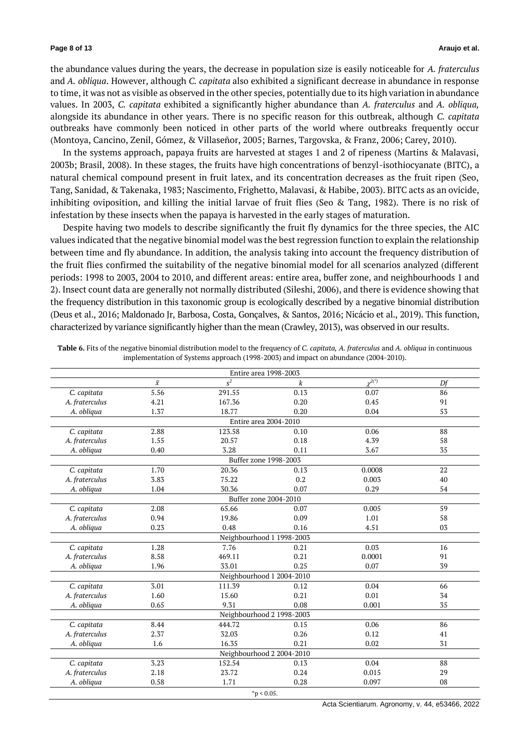the abundance values during the years, the decrease in population size is easily noticeable for *A. fraterculus* and *A. obliqua*. However, although *C. capitata* also exhibited a significant decrease in abundance in response to time, it was not as visible as observed in the other species, potentially due to its high variation in abundance values. In 2003, *C. capitata* exhibited a significantly higher abundance than *A. fraterculus* and *A. obliqua,*  alongside its abundance in other years. There is no specific reason for this outbreak, although *C. capitata* outbreaks have commonly been noticed in other parts of the world where outbreaks frequently occur (Montoya, Cancino, Zenil, Gómez, & Villaseñor, 2005; Barnes, Targovska, & Franz, 2006; Carey, 2010).

In the systems approach, papaya fruits are harvested at stages 1 and 2 of ripeness (Martins & Malavasi, 2003b; Brasil, 2008). In these stages, the fruits have high concentrations of benzyl-isothiocyanate (BITC), a natural chemical compound present in fruit latex, and its concentration decreases as the fruit ripen (Seo, Tang, Sanidad, & Takenaka, 1983; Nascimento, Frighetto, Malavasi, & Habibe, 2003). BITC acts as an ovicide, inhibiting oviposition, and killing the initial larvae of fruit flies (Seo & Tang, 1982). There is no risk of infestation by these insects when the papaya is harvested in the early stages of maturation.

Despite having two models to describe significantly the fruit fly dynamics for the three species, the AIC values indicated that the negative binomial model was the best regression function to explain the relationship between time and fly abundance. In addition, the analysis taking into account the frequency distribution of the fruit flies confirmed the suitability of the negative binomial model for all scenarios analyzed (different periods: 1998 to 2003, 2004 to 2010, and different areas: entire area, buffer zone, and neighbourhoods 1 and 2). Insect count data are generally not normally distributed (Sileshi, 2006), and there is evidence showing that the frequency distribution in this taxonomic group is ecologically described by a negative binomial distribution (Deus et al., 2016; Maldonado Jr, Barbosa, Costa, Gonçalves, & Santos, 2016; Nicácio et al., 2019). This function, characterized by variance significantly higher than the mean (Crawley, 2013), was observed in our results.

|                |           | Entire area 1998-2003     |      |               |    |
|----------------|-----------|---------------------------|------|---------------|----|
|                | $\bar{x}$ | $s^2$                     | k    | $\chi^{2(3)}$ | Df |
| C. capitata    | 5.56      | 291.55                    | 0.13 | 0.07          | 86 |
| A. fraterculus | 4.21      | 167.36                    | 0.20 | 0.45          | 91 |
| A. obliqua     | 1.37      | 18.77                     | 0.20 | 0.04          | 53 |
|                |           | Entire area 2004-2010     |      |               |    |
| C. capitata    | 2.88      | 123.58                    | 0.10 | 0.06          | 88 |
| A. fraterculus | 1.55      | 20.57                     | 0.18 | 4.39          | 58 |
| A. obliqua     | 0.40      | 3.28                      | 0.11 | 3.67          | 35 |
|                |           | Buffer zone 1998-2003     |      |               |    |
| C. capitata    | 1.70      | 20.36                     | 0.13 | 0.0008        | 22 |
| A. fraterculus | 3.83      | 75.22                     | 0.2  | 0.003         | 40 |
| A. obliqua     | 1.04      | 30.36                     | 0.07 | 0.29          | 54 |
|                |           | Buffer zone 2004-2010     |      |               |    |
| C. capitata    | 2.08      | 65.66                     | 0.07 | 0.005         | 59 |
| A. fraterculus | 0.94      | 19.86                     | 0.09 | 1.01          | 58 |
| A. obliqua     | 0.23      | 0.48                      | 0.16 | 4.51          | 03 |
|                |           | Neighbourhood 1 1998-2003 |      |               |    |
| C. capitata    | 1.28      | 7.76                      | 0.21 | 0.03          | 16 |
| A. fraterculus | 8.58      | 469.11                    | 0.21 | 0.0001        | 91 |
| A. obliqua     | 1.96      | 33.01                     | 0.25 | 0.07          | 39 |
|                |           | Neighbourhood 1 2004-2010 |      |               |    |
| C. capitata    | 3.01      | 111.39                    | 0.12 | 0.04          | 66 |
| A. fraterculus | 1.60      | 15.60                     | 0.21 | 0.01          | 34 |
| A. obliqua     | 0.65      | 9.31                      | 0.08 | 0.001         | 35 |
|                |           | Neighbourhood 2 1998-2003 |      |               |    |
| C. capitata    | 8.44      | 444.72                    | 0.15 | 0.06          | 86 |
| A. fraterculus | 2.37      | 32.03                     | 0.26 | 0.12          | 41 |
| A. obliqua     | 1.6       | 16.35                     | 0.21 | 0.02          | 31 |
|                |           | Neighbourhood 2 2004-2010 |      |               |    |
| C. capitata    | 3.23      | 152.54                    | 0.13 | 0.04          | 88 |
| A. fraterculus | 2.18      | 23.72                     | 0.24 | 0.015         | 29 |
| A. obliqua     | 0.58      | 1.71                      | 0.28 | 0.097         | 08 |

| <b>Table 6.</b> Fits of the negative binomial distribution model to the frequency of C. capitata, A. fraterculus and A. obliqua in continuous |
|-----------------------------------------------------------------------------------------------------------------------------------------------|
| implementation of Systems approach (1998-2003) and impact on abundance (2004-2010).                                                           |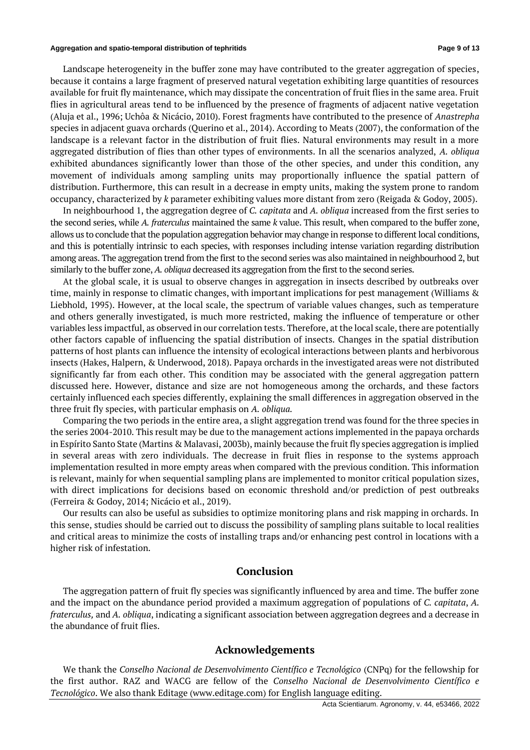#### **Aggregation and spatio-temporal distribution of tephritids Page 9 of 13**

Landscape heterogeneity in the buffer zone may have contributed to the greater aggregation of species, because it contains a large fragment of preserved natural vegetation exhibiting large quantities of resources available for fruit fly maintenance, which may dissipate the concentration of fruit flies in the same area. Fruit flies in agricultural areas tend to be influenced by the presence of fragments of adjacent native vegetation (Aluja et al., 1996; Uchôa & Nicácio, 2010). Forest fragments have contributed to the presence of *Anastrepha* species in adjacent guava orchards (Querino et al., 2014). According to Meats (2007), the conformation of the landscape is a relevant factor in the distribution of fruit flies. Natural environments may result in a more aggregated distribution of flies than other types of environments. In all the scenarios analyzed, *A. obliqua*  exhibited abundances significantly lower than those of the other species, and under this condition, any movement of individuals among sampling units may proportionally influence the spatial pattern of distribution. Furthermore, this can result in a decrease in empty units, making the system prone to random occupancy, characterized by *k* parameter exhibiting values more distant from zero (Reigada & Godoy, 2005).

In neighbourhood 1, the aggregation degree of *C. capitata* and *A. obliqua* increased from the first series to the second series, while *A. fraterculus* maintained the same *k* value. This result, when compared to the buffer zone, allows us to conclude that the population aggregation behavior may change in response to different local conditions, and this is potentially intrinsic to each species, with responses including intense variation regarding distribution among areas. The aggregation trend from the first to the second series was also maintained in neighbourhood 2, but similarly to the buffer zone, *A. obliqua* decreased its aggregation from the first to the second series.

At the global scale, it is usual to observe changes in aggregation in insects described by outbreaks over time, mainly in response to climatic changes, with important implications for pest management (Williams & Liebhold, 1995). However, at the local scale, the spectrum of variable values changes, such as temperature and others generally investigated, is much more restricted, making the influence of temperature or other variables less impactful, as observed in our correlation tests. Therefore, at the local scale, there are potentially other factors capable of influencing the spatial distribution of insects. Changes in the spatial distribution patterns of host plants can influence the intensity of ecological interactions between plants and herbivorous insects (Hakes, Halpern, & Underwood, 2018). Papaya orchards in the investigated areas were not distributed significantly far from each other. This condition may be associated with the general aggregation pattern discussed here. However, distance and size are not homogeneous among the orchards, and these factors certainly influenced each species differently, explaining the small differences in aggregation observed in the three fruit fly species, with particular emphasis on *A. obliqua.*

Comparing the two periods in the entire area, a slight aggregation trend was found for the three species in the series 2004-2010. This result may be due to the management actions implemented in the papaya orchards in Espírito Santo State (Martins & Malavasi, 2003b), mainly because the fruit fly species aggregation is implied in several areas with zero individuals. The decrease in fruit flies in response to the systems approach implementation resulted in more empty areas when compared with the previous condition. This information is relevant, mainly for when sequential sampling plans are implemented to monitor critical population sizes, with direct implications for decisions based on economic threshold and/or prediction of pest outbreaks (Ferreira & Godoy, 2014; Nicácio et al., 2019).

Our results can also be useful as subsidies to optimize monitoring plans and risk mapping in orchards. In this sense, studies should be carried out to discuss the possibility of sampling plans suitable to local realities and critical areas to minimize the costs of installing traps and/or enhancing pest control in locations with a higher risk of infestation.

# **Conclusion**

The aggregation pattern of fruit fly species was significantly influenced by area and time. The buffer zone and the impact on the abundance period provided a maximum aggregation of populations of *C. capitata*, *A. fraterculus,* and *A. obliqua*, indicating a significant association between aggregation degrees and a decrease in the abundance of fruit flies.

## **Acknowledgements**

We thank the *Conselho Nacional de Desenvolvimento Científico e Tecnológico* (CNPq) for the fellowship for the first author. RAZ and WACG are fellow of the *Conselho Nacional de Desenvolvimento Científico e Tecnológico*. We also thank Editage (www.editage.com) for English language editing.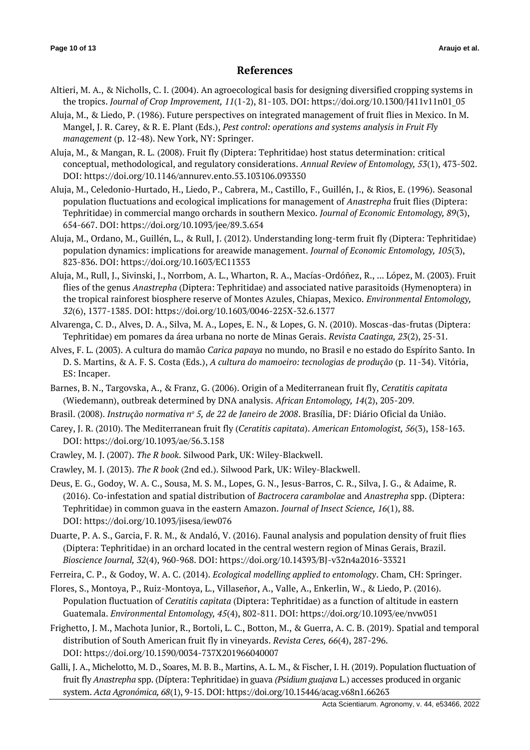# **References**

- Altieri, M. A., & Nicholls, C. I. (2004). An agroecological basis for designing diversified cropping systems in the tropics. *Journal of Crop Improvement, 11*(1-2), 81-103. DOI: https://doi.org/10.1300/J411v11n01\_05
- Aluja, M., & Liedo, P. (1986). Future perspectives on integrated management of fruit flies in Mexico. In M. Mangel, J. R. Carey, & R. E. Plant (Eds.), *Pest control: operations and systems analysis in Fruit Fly management* (p. 12-48). New York, NY: Springer.
- Aluja, M., & Mangan, R. L. (2008). Fruit fly (Diptera: Tephritidae) host status determination: critical conceptual, methodological, and regulatory considerations. *Annual Review of Entomology, 53*(1), 473-502. DOI: https://doi.org/10.1146/annurev.ento.53.103106.093350
- Aluja, M., Celedonio-Hurtado, H., Liedo, P., Cabrera, M., Castillo, F., Guillén, J., & Rios, E. (1996). Seasonal population fluctuations and ecological implications for management of *Anastrepha* fruit flies (Diptera: Tephritidae) in commercial mango orchards in southern Mexico. *Journal of Economic Entomology, 89*(3), 654-667. DOI: https://doi.org/10.1093/jee/89.3.654
- Aluja, M., Ordano, M., Guillén, L., & Rull, J. (2012). Understanding long-term fruit fly (Diptera: Tephritidae) population dynamics: implications for areawide management. *Journal of Economic Entomology, 105*(3), 823-836. DOI: https://doi.org/10.1603/EC11353
- Aluja, M., Rull, J., Sivinski, J., Norrbom, A. L., Wharton, R. A., Macías-Ordóñez, R., ... López, M. (2003). Fruit flies of the genus *Anastrepha* (Diptera: Tephritidae) and associated native parasitoids (Hymenoptera) in the tropical rainforest biosphere reserve of Montes Azules, Chiapas, Mexico. *Environmental Entomology, 32*(6), 1377-1385. DOI: https://doi.org/10.1603/0046-225X-32.6.1377
- Alvarenga, C. D., Alves, D. A., Silva, M. A., Lopes, E. N., & Lopes, G. N. (2010). Moscas-das-frutas (Diptera: Tephritidae) em pomares da área urbana no norte de Minas Gerais. *Revista Caatinga, 23*(2), 25-31.
- Alves, F. L. (2003). A cultura do mamão *Carica papaya* no mundo, no Brasil e no estado do Espírito Santo. In D. S. Martins, & A. F. S. Costa (Eds.), *A cultura do mamoeiro: tecnologias de produção* (p. 11-34). Vitória, ES: Incaper.
- Barnes, B. N., Targovska, A., & Franz, G. (2006). Origin of a Mediterranean fruit fly, *Ceratitis capitata* (Wiedemann), outbreak determined by DNA analysis. *African Entomology, 14*(2), 205-209.
- Brasil. (2008). *Instrução normativa n<sup>o</sup> 5, de 22 de Janeiro de 2008*. Brasília, DF: Diário Oficial da União.
- Carey, J. R. (2010). The Mediterranean fruit fly (*Ceratitis capitata*). *American Entomologist, 56*(3), 158-163. DOI: https://doi.org/10.1093/ae/56.3.158
- Crawley, M. J. (2007). *The R book*. Silwood Park, UK: Wiley-Blackwell.
- Crawley, M. J. (2013). *The R book* (2nd ed.). Silwood Park, UK: Wiley-Blackwell.
- Deus, E. G., Godoy, W. A. C., Sousa, M. S. M., Lopes, G. N., Jesus-Barros, C. R., Silva, J. G., & Adaime, R. (2016). Co-infestation and spatial distribution of *Bactrocera carambolae* and *Anastrepha* spp. (Diptera: Tephritidae) in common guava in the eastern Amazon. *Journal of Insect Science, 16*(1), 88. DOI: https://doi.org/10.1093/jisesa/iew076
- Duarte, P. A. S., Garcia, F. R. M., & Andaló, V. (2016). Faunal analysis and population density of fruit flies (Diptera: Tephritidae) in an orchard located in the central western region of Minas Gerais, Brazil. *Bioscience Journal, 32*(4), 960-968. DOI: https://doi.org/10.14393/BJ-v32n4a2016-33321
- Ferreira, C. P., & Godoy, W. A. C. (2014). *Ecological modelling applied to entomology*. Cham, CH: Springer.
- Flores, S., Montoya, P., Ruiz-Montoya, L., Villaseñor, A., Valle, A., Enkerlin, W., & Liedo, P. (2016). Population fluctuation of *Ceratitis capitata* (Diptera: Tephritidae) as a function of altitude in eastern Guatemala. *Environmental Entomology, 45*(4), 802-811. DOI: https://doi.org/10.1093/ee/nvw051
- Frighetto, J. M., Machota Junior, R., Bortoli, L. C., Botton, M., & Guerra, A. C. B. (2019). Spatial and temporal distribution of South American fruit fly in vineyards. *Revista Ceres, 66*(4), 287-296. DOI: https://doi.org/10.1590/0034-737X201966040007
- Galli, J. A., Michelotto, M. D., Soares, M. B. B., Martins, A. L. M., & Fischer, I. H. (2019). Population fluctuation of fruit fly *Anastrepha* spp. (Díptera: Tephritidae) in guava *(Psidium guajava* L.) accesses produced in organic system. *Acta Agronómica, 68*(1), 9-15. DOI: https://doi.org/10.15446/acag.v68n1.66263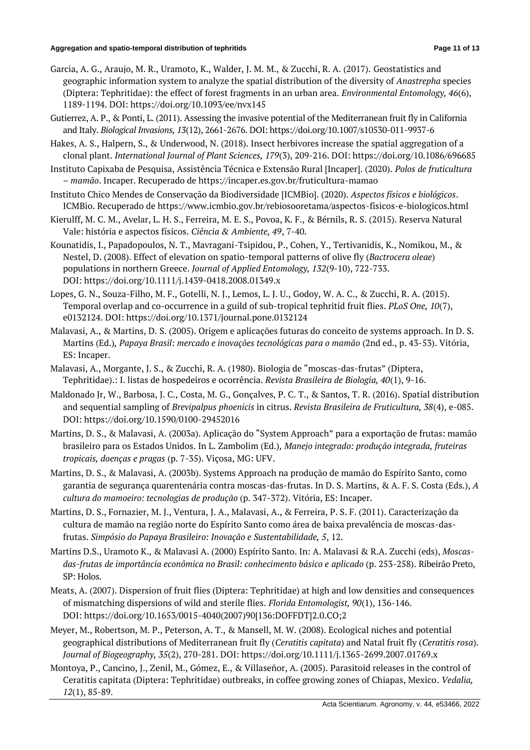## **Aggregation and spatio-temporal distribution of tephritids Page 11 of 13**

- Garcia, A. G., Araujo, M. R., Uramoto, K., Walder, J. M. M., & Zucchi, R. A. (2017). Geostatistics and geographic information system to analyze the spatial distribution of the diversity of *Anastrepha* species (Diptera: Tephritidae): the effect of forest fragments in an urban area. *Environmental Entomology, 46*(6), 1189-1194. DOI: https://doi.org/10.1093/ee/nvx145
- Gutierrez, A. P., & Ponti, L. (2011). Assessing the invasive potential of the Mediterranean fruit fly in California and Italy. *Biological Invasions, 13*(12), 2661-2676. DOI: https://doi.org/10.1007/s10530-011-9937-6
- Hakes, A. S., Halpern, S., & Underwood, N. (2018). Insect herbivores increase the spatial aggregation of a clonal plant. *International Journal of Plant Sciences, 179*(3), 209-216. DOI: https://doi.org/10.1086/696685
- Instituto Capixaba de Pesquisa, Assistência Técnica e Extensão Rural [Incaper]. (2020). *Polos de fruticultura – mamão*. Incaper. Recuperado de https://incaper.es.gov.br/fruticultura-mamao
- Instituto Chico Mendes de Conservação da Biodiversidade [ICMBio]. (2020). *Aspectos físicos e biológicos*. ICMBio. Recuperado de https://www.icmbio.gov.br/rebiosooretama/aspectos-fisicos-e-biologicos.html
- Kierulff, M. C. M., Avelar, L. H. S., Ferreira, M. E. S., Povoa, K. F., & Bérnils, R. S. (2015). Reserva Natural Vale: história e aspectos físicos. *Ciência & Ambiente, 49*, 7-40.
- Kounatidis, I., Papadopoulos, N. T., Mavragani-Tsipidou, P., Cohen, Y., Tertivanidis, K., Nomikou, M., & Nestel, D. (2008). Effect of elevation on spatio-temporal patterns of olive fly (*Bactrocera oleae*) populations in northern Greece. *Journal of Applied Entomology, 132*(9-10), 722-733. DOI: https://doi.org/10.1111/j.1439-0418.2008.01349.x
- Lopes, G. N., Souza-Filho, M. F., Gotelli, N. J., Lemos, L. J. U., Godoy, W. A. C., & Zucchi, R. A. (2015). Temporal overlap and co-occurrence in a guild of sub-tropical tephritid fruit flies. *PLoS One, 10*(7), e0132124. DOI: https://doi.org/10.1371/journal.pone.0132124
- Malavasi, A., & Martins, D. S. (2005). Origem e aplicações futuras do conceito de systems approach. In D. S. Martins (Ed.)*, Papaya Brasil: mercado e inovações tecnológicas para o mamão* (2nd ed., p. 43-53). Vitória, ES: Incaper.
- Malavasi, A., Morgante, J. S., & Zucchi, R. A. (1980). Biologia de "moscas-das-frutas" (Diptera, Tephritidae).: I. listas de hospedeiros e ocorrência. *Revista Brasileira de Biologia, 40*(1), 9-16.
- Maldonado Jr, W., Barbosa, J. C., Costa, M. G., Gonçalves, P. C. T., & Santos, T. R. (2016). Spatial distribution and sequential sampling of *Brevipalpus phoenicis* in citrus. *Revista Brasileira de Fruticultura, 38*(4), e-085. DOI: https://doi.org/10.1590/0100-29452016
- Martins, D. S., & Malavasi, A. (2003a). Aplicação do "System Approach" para a exportação de frutas: mamão brasileiro para os Estados Unidos. In L. Zambolim (Ed.)*, Manejo integrado: produção integrada, fruteiras tropicais, doenças e pragas* (p. 7-35). Viçosa, MG: UFV.
- Martins, D. S., & Malavasi, A. (2003b). Systems Approach na produção de mamão do Espírito Santo, como garantia de segurança quarentenária contra moscas-das-frutas. In D. S. Martins, & A. F. S. Costa (Eds.), *A cultura do mamoeiro: tecnologias de produção* (p. 347-372). Vitória, ES: Incaper.
- Martins, D. S., Fornazier, M. J., Ventura, J. A., Malavasi, A., & Ferreira, P. S. F. (2011). Caracterização da cultura de mamão na região norte do Espírito Santo como área de baixa prevalência de moscas-dasfrutas. *Simpósio do Papaya Brasileiro: Inovação e Sustentabilidade, 5*, 12.
- Martins D.S., Uramoto K., & Malavasi A. (2000) Espírito Santo. In: A. Malavasi & R.A. Zucchi (eds), *Moscasdas-frutas de importância econômica no Brasil: conhecimento básico e aplicado* (p. 253-258). Ribeirão Preto, SP: Holos.
- Meats, A. (2007). Dispersion of fruit flies (Diptera: Tephritidae) at high and low densities and consequences of mismatching dispersions of wild and sterile flies. *Florida Entomologist, 90*(1), 136-146. DOI: https://doi.org/10.1653/0015-4040(2007)90[136:DOFFDT]2.0.CO;2
- Meyer, M., Robertson, M. P., Peterson, A. T., & Mansell, M. W. (2008). Ecological niches and potential geographical distributions of Mediterranean fruit fly (*Ceratitis capitata*) and Natal fruit fly (*Ceratitis rosa*). *Journal of Biogeography, 35*(2), 270-281. DOI: https://doi.org/10.1111/j.1365-2699.2007.01769.x
- Montoya, P., Cancino, J., Zenil, M., Gómez, E., & Villaseñor, A. (2005). Parasitoid releases in the control of Ceratitis capitata (Diptera: Tephritidae) outbreaks, in coffee growing zones of Chiapas, Mexico. *Vedalia, 12*(1), 85-89.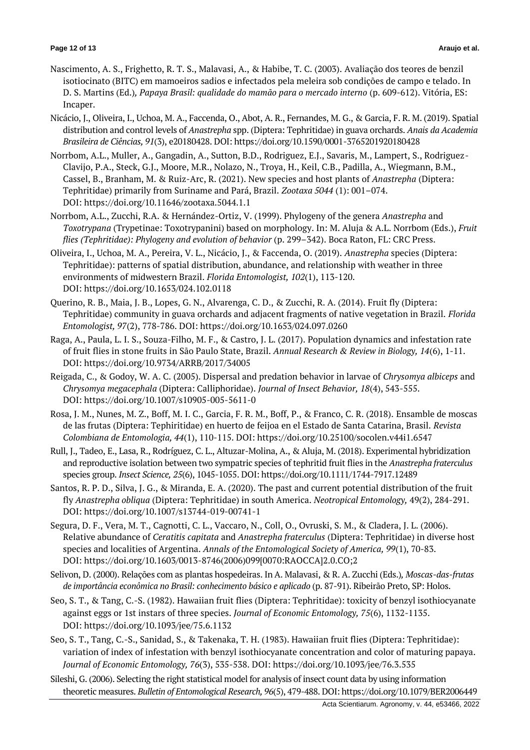- Nascimento, A. S., Frighetto, R. T. S., Malavasi, A., & Habibe, T. C. (2003). Avaliação dos teores de benzil isotiocinato (BITC) em mamoeiros sadios e infectados pela meleira sob condições de campo e telado. In D. S. Martins (Ed.)*, Papaya Brasil: qualidade do mamão para o mercado interno* (p. 609-612). Vitória, ES: Incaper.
- Nicácio, J., Oliveira, I., Uchoa, M. A., Faccenda, O., Abot, A. R., Fernandes, M. G., & Garcia, F. R. M. (2019). Spatial distribution and control levels of *Anastrepha* spp. (Diptera: Tephritidae) in guava orchards. *Anais da Academia Brasileira de Ciências, 91*(3), e20180428. DOI: https://doi.org/10.1590/0001-3765201920180428
- Norrbom, A.L., Muller, A., Gangadin, A., Sutton, B.D., Rodriguez, E.J., Savaris, M., Lampert, S., Rodriguez-Clavijo, P.A., Steck, G.J., Moore, M.R., Nolazo, N., Troya, H., Keil, C.B., Padilla, A., Wiegmann, B.M., Cassel, B., Branham, M. & Ruiz-Arc, R. (2021). New species and host plants of *Anastrepha* (Diptera: Tephritidae) primarily from Suriname and Pará, Brazil. *Zootaxa 5044* (1): 001–074. DOI: https://doi.org/10.11646/zootaxa.5044.1.1
- Norrbom, A.L., Zucchi, R.A. & Hernández-Ortiz, V. (1999). Phylogeny of the genera *Anastrepha* and *Toxotrypana* (Trypetinae: Toxotrypanini) based on morphology. In: M. Aluja & A.L. Norrbom (Eds.), *Fruit flies (Tephritidae): Phylogeny and evolution of behavior* (p. 299–342). Boca Raton, FL: CRC Press.
- Oliveira, I., Uchoa, M. A., Pereira, V. L., Nicácio, J., & Faccenda, O. (2019). *Anastrepha* species (Diptera: Tephritidae): patterns of spatial distribution, abundance, and relationship with weather in three environments of midwestern Brazil. *Florida Entomologist, 102*(1), 113-120. DOI: https://doi.org/10.1653/024.102.0118
- Querino, R. B., Maia, J. B., Lopes, G. N., Alvarenga, C. D., & Zucchi, R. A. (2014). Fruit fly (Diptera: Tephritidae) community in guava orchards and adjacent fragments of native vegetation in Brazil. *Florida Entomologist, 97*(2), 778-786. DOI: https://doi.org/10.1653/024.097.0260
- Raga, A., Paula, L. I. S., Souza-Filho, M. F., & Castro, J. L. (2017). Population dynamics and infestation rate of fruit flies in stone fruits in São Paulo State, Brazil. *Annual Research & Review in Biology, 14*(6), 1-11. DOI: https://doi.org/10.9734/ARRB/2017/34005
- Reigada, C., & Godoy, W. A. C. (2005). Dispersal and predation behavior in larvae of *Chrysomya albiceps* and *Chrysomya megacephala* (Diptera: Calliphoridae). *Journal of Insect Behavior, 18*(4), 543-555. DOI: https://doi.org/10.1007/s10905-005-5611-0
- Rosa, J. M., Nunes, M. Z., Boff, M. I. C., Garcia, F. R. M., Boff, P., & Franco, C. R. (2018). Ensamble de moscas de las frutas (Diptera: Tephiritidae) en huerto de feijoa en el Estado de Santa Catarina, Brasil. *Revista Colombiana de Entomologia, 44*(1), 110-115. DOI: https://doi.org/10.25100/socolen.v44i1.6547
- Rull, J., Tadeo, E., Lasa, R., Rodríguez, C. L., Altuzar-Molina, A., & Aluja, M. (2018). Experimental hybridization and reproductive isolation between two sympatric species of tephritid fruit flies in the *Anastrepha fraterculus* species group. *Insect Science, 25*(6), 1045-1055. DOI: https://doi.org/10.1111/1744-7917.12489
- Santos, R. P. D., Silva, J. G., & Miranda, E. A. (2020). The past and current potential distribution of the fruit fly *Anastrepha obliqua* (Diptera: Tephritidae) in south America. *Neotropical Entomology,* 49(2), 284-291. DOI: https://doi.org/10.1007/s13744-019-00741-1
- Segura, D. F., Vera, M. T., Cagnotti, C. L., Vaccaro, N., Coll, O., Ovruski, S. M., & Cladera, J. L. (2006). Relative abundance of *Ceratitis capitata* and *Anastrepha fraterculus* (Diptera: Tephritidae) in diverse host species and localities of Argentina. *Annals of the Entomological Society of America, 99*(1), 70-83. DOI: https://doi.org/10.1603/0013-8746(2006)099[0070:RAOCCA]2.0.CO;2
- Selivon, D. (2000). Relações com as plantas hospedeiras. In A. Malavasi, & R. A. Zucchi (Eds.)*, Moscas-das-frutas de importância econômica no Brasil: conhecimento básico e aplicado* (p. 87-91). Ribeirão Preto, SP: Holos.
- Seo, S. T., & Tang, C.-S. (1982). Hawaiian fruit flies (Diptera: Tephritidae): toxicity of benzyl isothiocyanate against eggs or 1st instars of three species. *Journal of Economic Entomology, 75*(6), 1132-1135. DOI: https://doi.org/10.1093/jee/75.6.1132
- Seo, S. T., Tang, C.-S., Sanidad, S., & Takenaka, T. H. (1983). Hawaiian fruit flies (Diptera: Tephritidae): variation of index of infestation with benzyl isothiocyanate concentration and color of maturing papaya. *Journal of Economic Entomology, 76*(3), 535-538. DOI: https://doi.org/10.1093/jee/76.3.535
- Sileshi, G. (2006). Selecting the right statistical model for analysis of insect count data by using information theoretic measures. *Bulletin of Entomological Research, 96*(5), 479-488. DOI: https://doi.org/10.1079/BER2006449